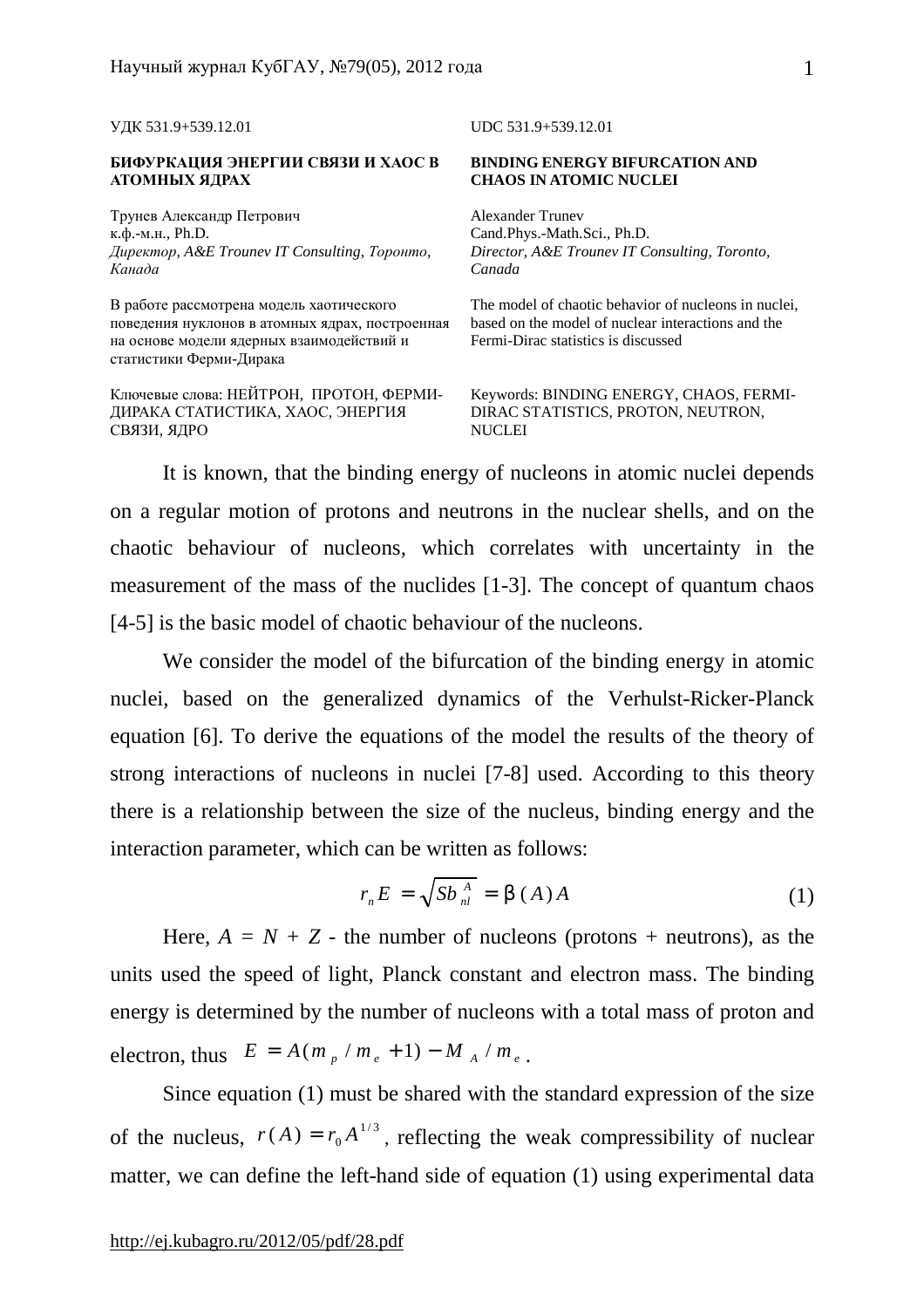УДК 531.9+539.12.01 UDC 531.9+539.12.01

## **БИФУРКАЦИЯ ЭНЕРГИИ СВЯЗИ И ХАОС В АТОМНЫХ ЯДРАХ**

Трунев Александр Петрович к.ф.-м.н., Ph.D. *Директор, A&E Trounev IT Consulting, Торонто, Канада*

В работе рассмотрена модель хаотического поведения нуклонов в атомных ядрах, построенная на основе модели ядерных взаимодействий и статистики Ферми-Дирака

Ключевые слова: НЕЙТРОН, ПРОТОН, ФЕРМИ-ДИРАКА СТАТИСТИКА, ХАОС, ЭНЕРГИЯ СВЯЗИ, ЯДРО

## **BINDING ENERGY BIFURCATION AND CHAOS IN ATOMIC NUCLEI**

Alexander Trunev Cand.Phys.-Math.Sci., Ph.D. *Director, A&E Trounev IT Consulting, Toronto, Canada* 

The model of chaotic behavior of nucleons in nuclei, based on the model of nuclear interactions and the Fermi-Dirac statistics is discussed

Keywords: BINDING ENERGY, CHAOS, FERMI-DIRAC STATISTICS, PROTON, NEUTRON, **NUCLEI** 

It is known, that the binding energy of nucleons in atomic nuclei depends on a regular motion of protons and neutrons in the nuclear shells, and on the chaotic behaviour of nucleons, which correlates with uncertainty in the measurement of the mass of the nuclides [1-3]. The concept of quantum chaos [4-5] is the basic model of chaotic behaviour of the nucleons.

We consider the model of the bifurcation of the binding energy in atomic nuclei, based on the generalized dynamics of the Verhulst-Ricker-Planck equation [6]. To derive the equations of the model the results of the theory of strong interactions of nucleons in nuclei [7-8] used. According to this theory there is a relationship between the size of the nucleus, binding energy and the interaction parameter, which can be written as follows:

$$
r_n E = \sqrt{Sb_n^A} = b(A)A
$$
 (1)

Here,  $A = N + Z$  - the number of nucleons (protons + neutrons), as the units used the speed of light, Planck constant and electron mass. The binding energy is determined by the number of nucleons with a total mass of proton and electron, thus  $E = A(m_p / m_e + 1) - M_A / m_e$ .

Since equation (1) must be shared with the standard expression of the size of the nucleus,  $r(A) = r_0 A^{1/3}$  $r(A) = r_0 A^{1/3}$ , reflecting the weak compressibility of nuclear matter, we can define the left-hand side of equation (1) using experimental data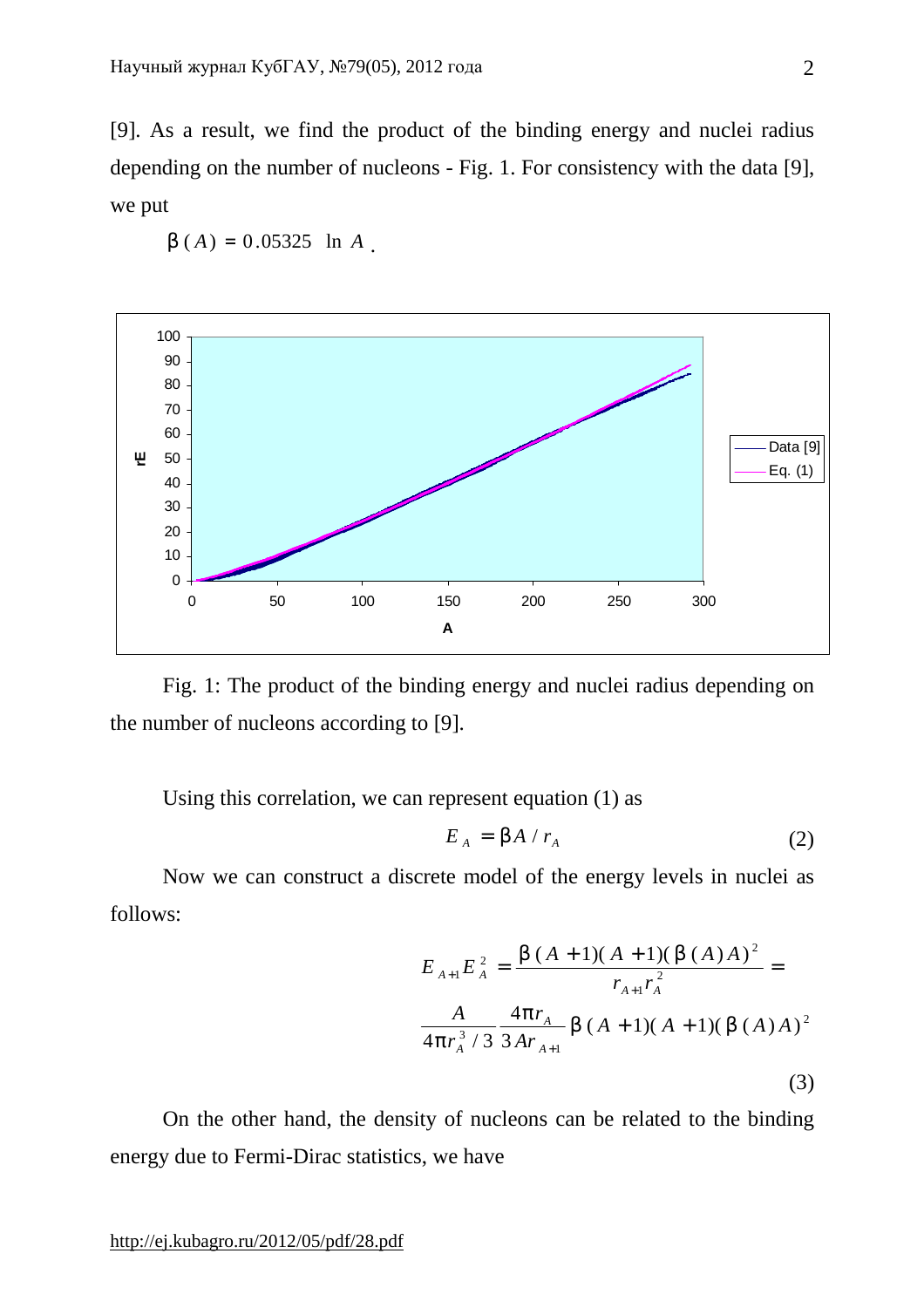[9]. As a result, we find the product of the binding energy and nuclei radius depending on the number of nucleons - Fig. 1. For consistency with the data [9], we put



$$
b(A) = 0.05325 \ln A
$$

Fig. 1: The product of the binding energy and nuclei radius depending on the number of nucleons according to [9].

Using this correlation, we can represent equation (1) as

$$
E_A = bA / r_A \tag{2}
$$

Now we can construct a discrete model of the energy levels in nuclei as follows:

$$
E_{A+1}E_A^2 = \frac{b(A+1)(A+1)(b(A)A)^2}{r_{A+1}r_A^2} =
$$
  

$$
\frac{A}{4pr_A^3/3} \frac{4pr_A}{3Ar_{A+1}} b(A+1)(A+1)(b(A)A)^2
$$
  
(3)

On the other hand, the density of nucleons can be related to the binding energy due to Fermi-Dirac statistics, we have

<http://ej.kubagro.ru/2012/05/pdf/28.pdf>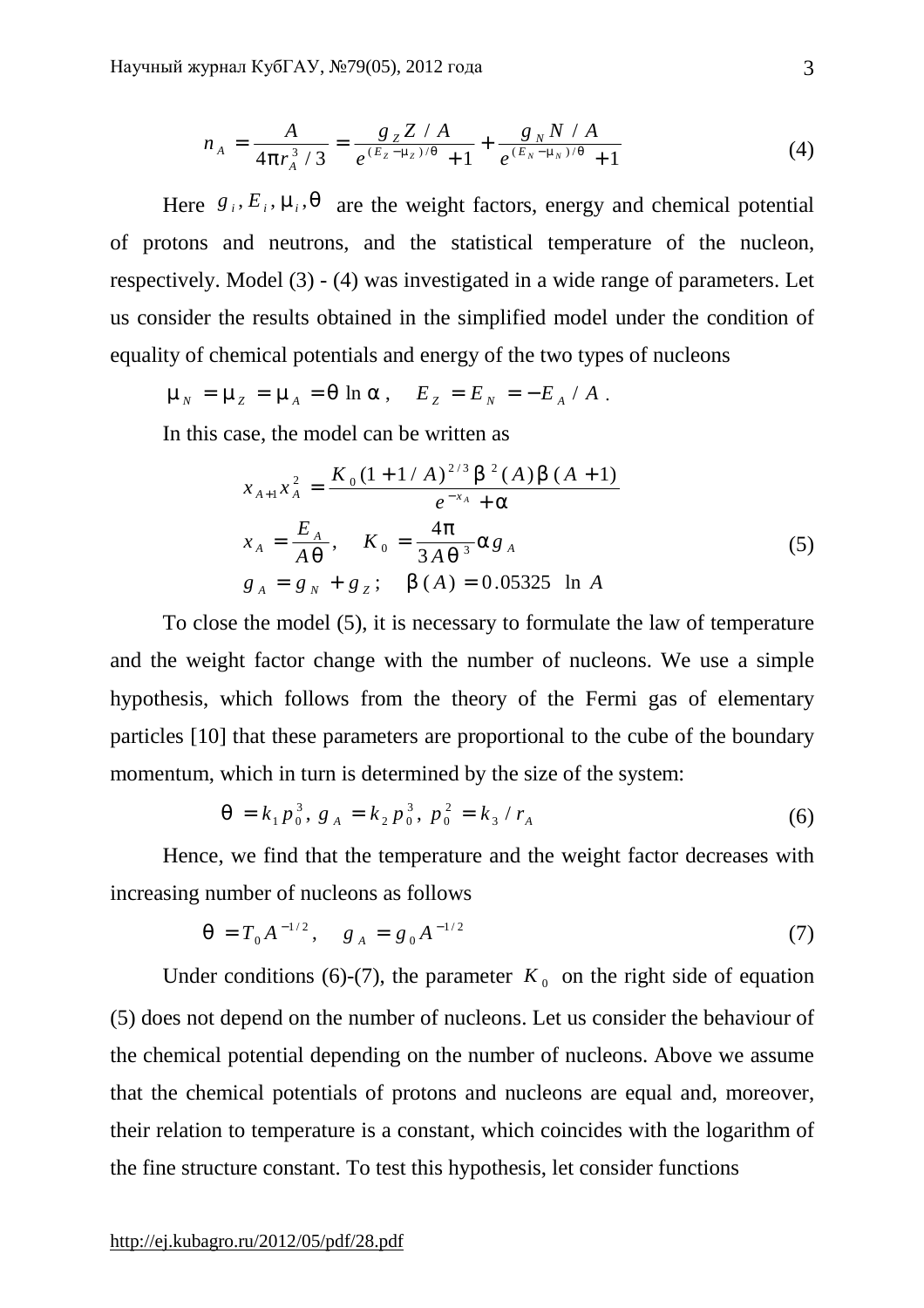$$
n_A = \frac{A}{4pr_A^3/3} = \frac{g_Z Z/A}{e^{(E_Z - m_Z)/q} + 1} + \frac{g_N N/A}{e^{(E_N - m_N)/q} + 1}
$$
(4)

Here  $g_i$ ,  $E_i$ ,  $m_i$ ,  $q$  are the weight factors, energy and chemical potential of protons and neutrons, and the statistical temperature of the nucleon, respectively. Model (3) - (4) was investigated in a wide range of parameters. Let us consider the results obtained in the simplified model under the condition of equality of chemical potentials and energy of the two types of nucleons

 $m_N = m_Z = m_A = q \ln a, \quad E_Z = E_N = -E_A / A$ .

In this case, the model can be written as

$$
x_{A+1}x_A^2 = \frac{K_0(1+1/A)^{2/3} b^2(A) b(A+1)}{e^{-x_A} + a}
$$
  
\n
$$
x_A = \frac{E_A}{Aq}, \quad K_0 = \frac{4p}{3Aq^3} a g_A
$$
  
\n
$$
g_A = g_N + g_Z; \quad b(A) = 0.05325 \text{ ln } A
$$
\n(5)

To close the model (5), it is necessary to formulate the law of temperature and the weight factor change with the number of nucleons. We use a simple hypothesis, which follows from the theory of the Fermi gas of elementary particles [10] that these parameters are proportional to the cube of the boundary momentum, which in turn is determined by the size of the system:

$$
q = k_1 p_0^3, g_A = k_2 p_0^3, p_0^2 = k_3 / r_A
$$
 (6)

Hence, we find that the temperature and the weight factor decreases with increasing number of nucleons as follows

$$
q = T_0 A^{-1/2}, \quad g_A = g_0 A^{-1/2} \tag{7}
$$

Under conditions (6)-(7), the parameter  $K_0$  on the right side of equation (5) does not depend on the number of nucleons. Let us consider the behaviour of the chemical potential depending on the number of nucleons. Above we assume that the chemical potentials of protons and nucleons are equal and, moreover, their relation to temperature is a constant, which coincides with the logarithm of the fine structure constant. To test this hypothesis, let consider functions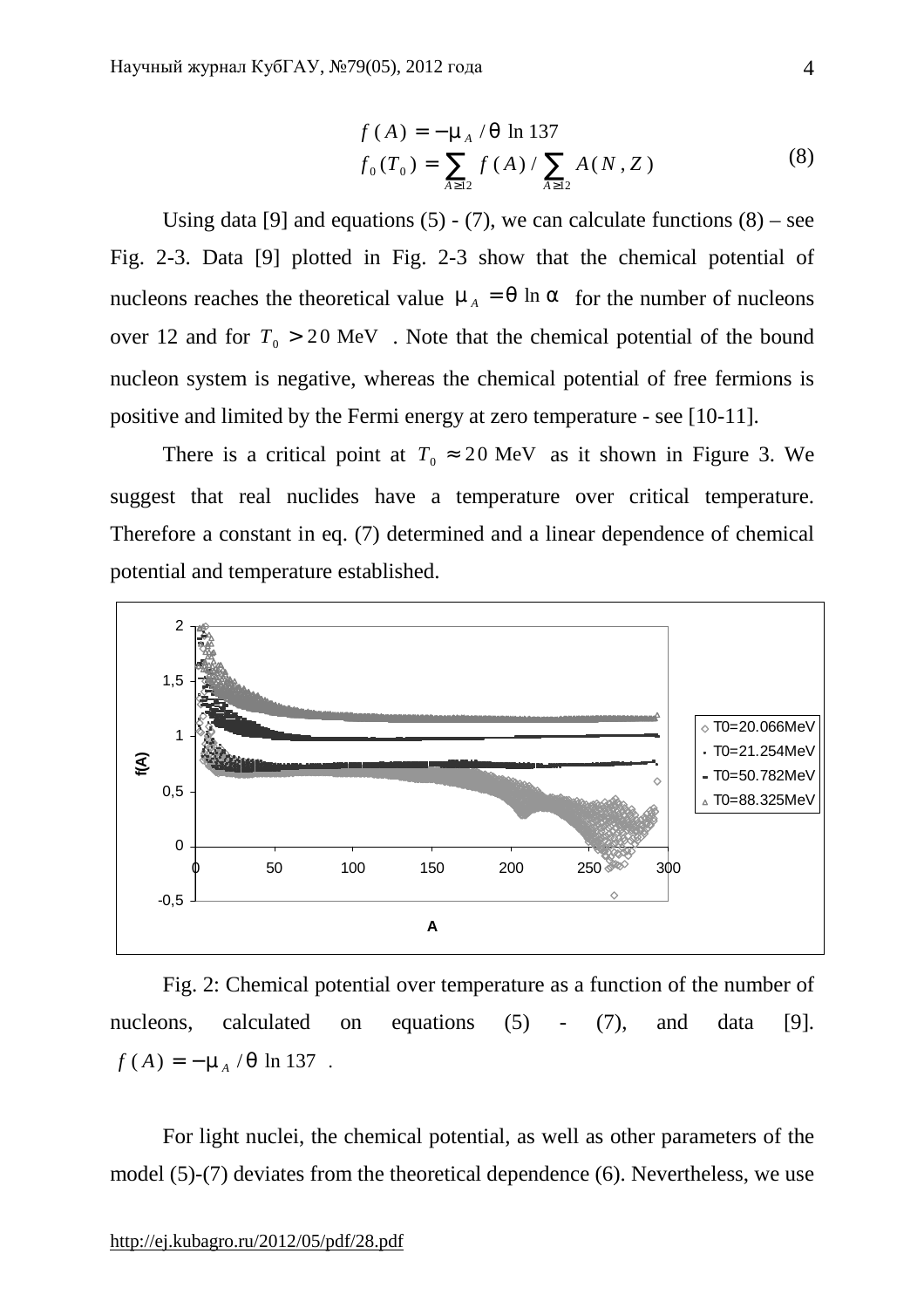$$
f(A) = -m_A / q \ln 137
$$
  
\n
$$
f_0(T_0) = \sum_{A \ge 12} f(A) / \sum_{A \ge 12} A(N, Z)
$$
\n(8)

Using data [9] and equations (5) - (7), we can calculate functions  $(8)$  – see Fig. 2-3. Data [9] plotted in Fig. 2-3 show that the chemical potential of nucleons reaches the theoretical value  $m_A = q \ln a$  for the number of nucleons over 12 and for  $T_0 > 20$  MeV. Note that the chemical potential of the bound nucleon system is negative, whereas the chemical potential of free fermions is positive and limited by the Fermi energy at zero temperature - see [10-11].

There is a critical point at  $T_0 \approx 20$  MeV as it shown in Figure 3. We suggest that real nuclides have a temperature over critical temperature. Therefore a constant in eq. (7) determined and a linear dependence of chemical potential and temperature established.



Fig. 2: Chemical potential over temperature as a function of the number of nucleons, calculated on equations (5) - (7), and data [9].  $f(A) = -m_A / q \ln 137$ .

For light nuclei, the chemical potential, as well as other parameters of the model (5)-(7) deviates from the theoretical dependence (6). Nevertheless, we use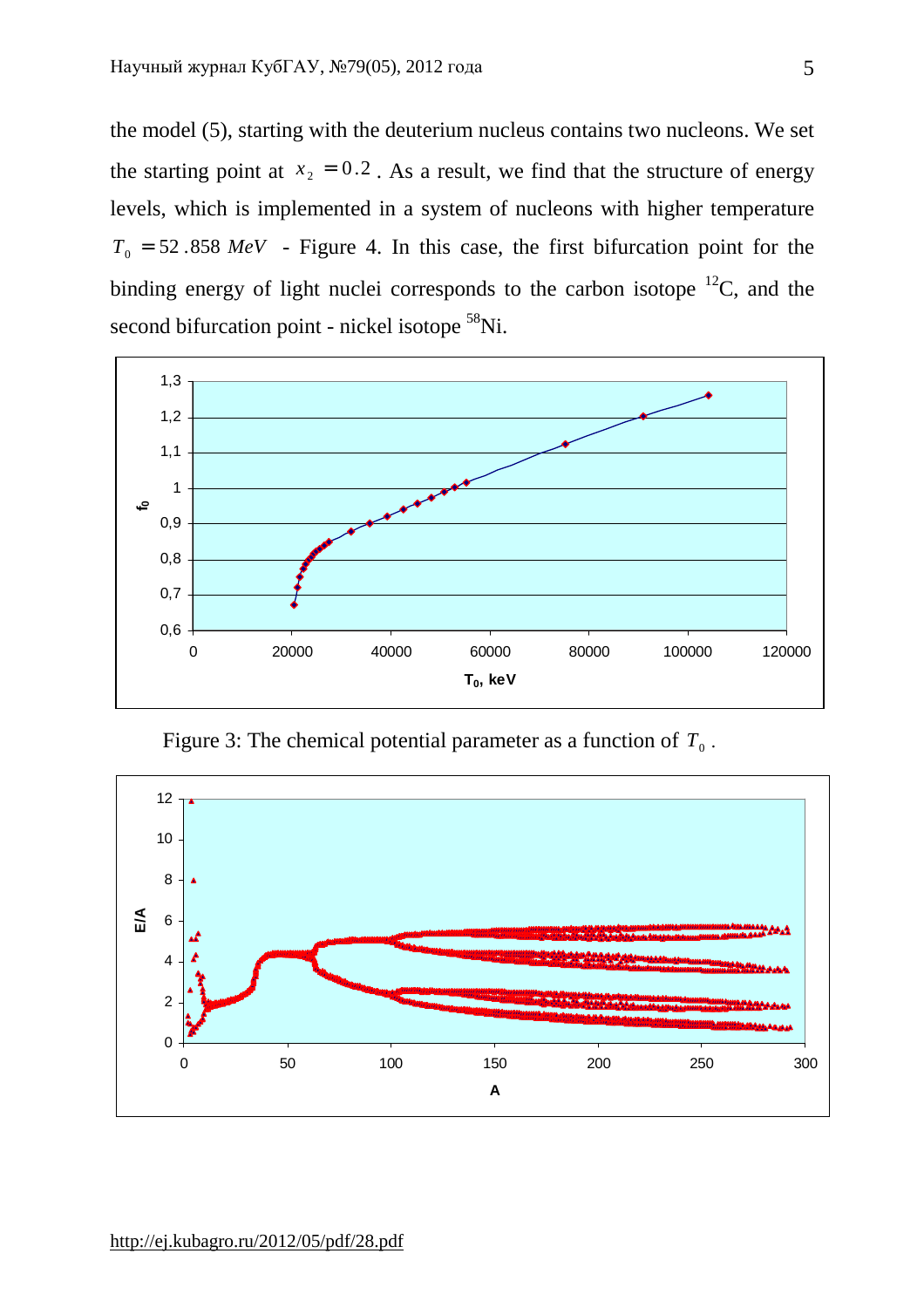the model (5), starting with the deuterium nucleus contains two nucleons. We set the starting point at  $x_2 = 0.2$ . As a result, we find that the structure of energy levels, which is implemented in a system of nucleons with higher temperature  $T_0$  = 52.858 *MeV* - Figure 4. In this case, the first bifurcation point for the binding energy of light nuclei corresponds to the carbon isotope  ${}^{12}C$ , and the second bifurcation point - nickel isotope <sup>58</sup>Ni.



Figure 3: The chemical potential parameter as a function of  $T_0$ .

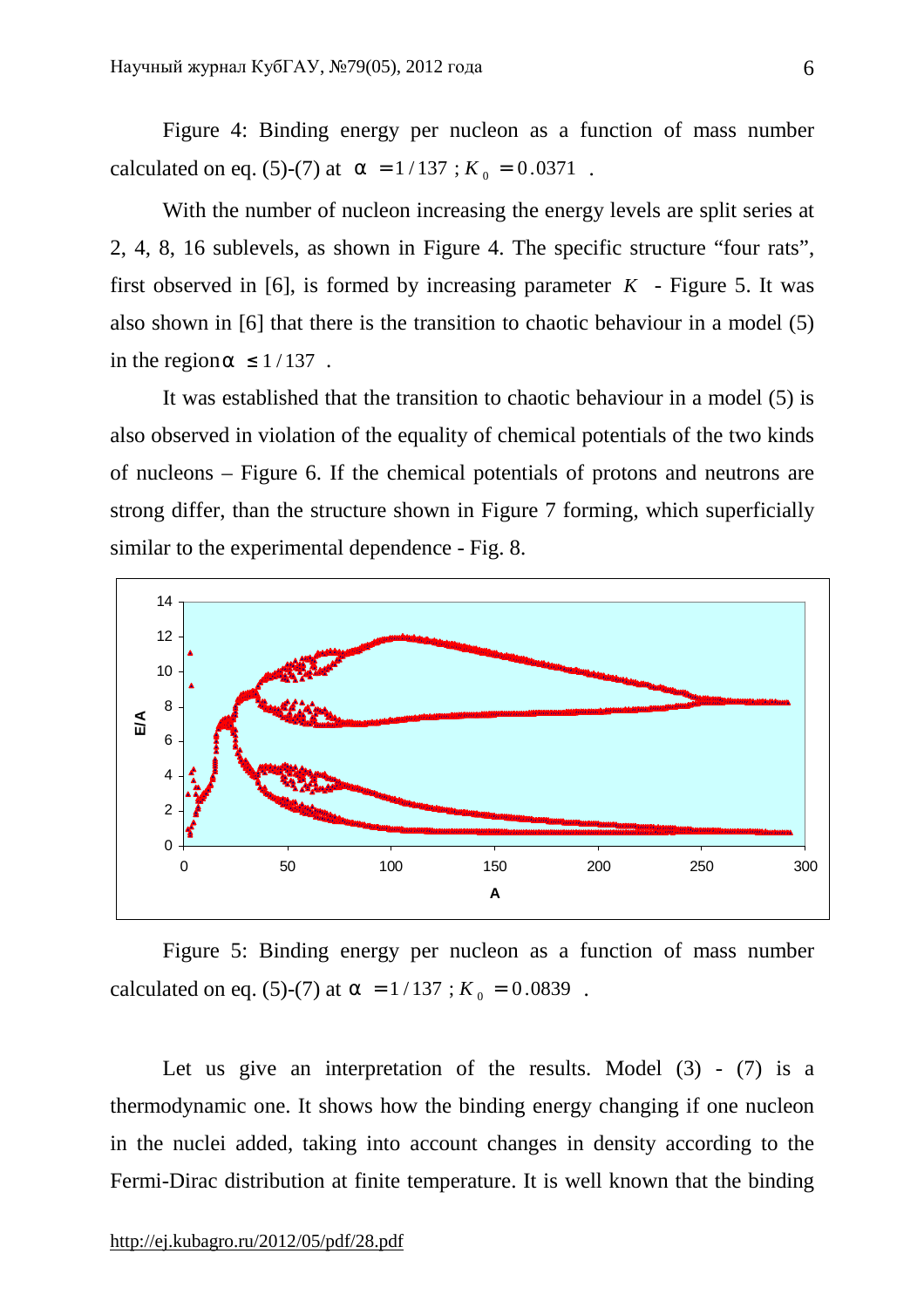Figure 4: Binding energy per nucleon as a function of mass number calculated on eq. (5)-(7) at  $a = 1/137$ ;  $K_0 = 0.0371$ .

With the number of nucleon increasing the energy levels are split series at 2, 4, 8, 16 sublevels, as shown in Figure 4. The specific structure "four rats", first observed in [6], is formed by increasing parameter  $K$  - Figure 5. It was also shown in [6] that there is the transition to chaotic behaviour in a model (5) in the region  $a \leq 1/137$ .

It was established that the transition to chaotic behaviour in a model (5) is also observed in violation of the equality of chemical potentials of the two kinds of nucleons – Figure 6. If the chemical potentials of protons and neutrons are strong differ, than the structure shown in Figure 7 forming, which superficially similar to the experimental dependence - Fig. 8.



Figure 5: Binding energy per nucleon as a function of mass number calculated on eq. (5)-(7) at  $a = 1/137$ ;  $K_0 = 0.0839$ .

Let us give an interpretation of the results. Model  $(3)$  -  $(7)$  is a thermodynamic one. It shows how the binding energy changing if one nucleon in the nuclei added, taking into account changes in density according to the Fermi-Dirac distribution at finite temperature. It is well known that the binding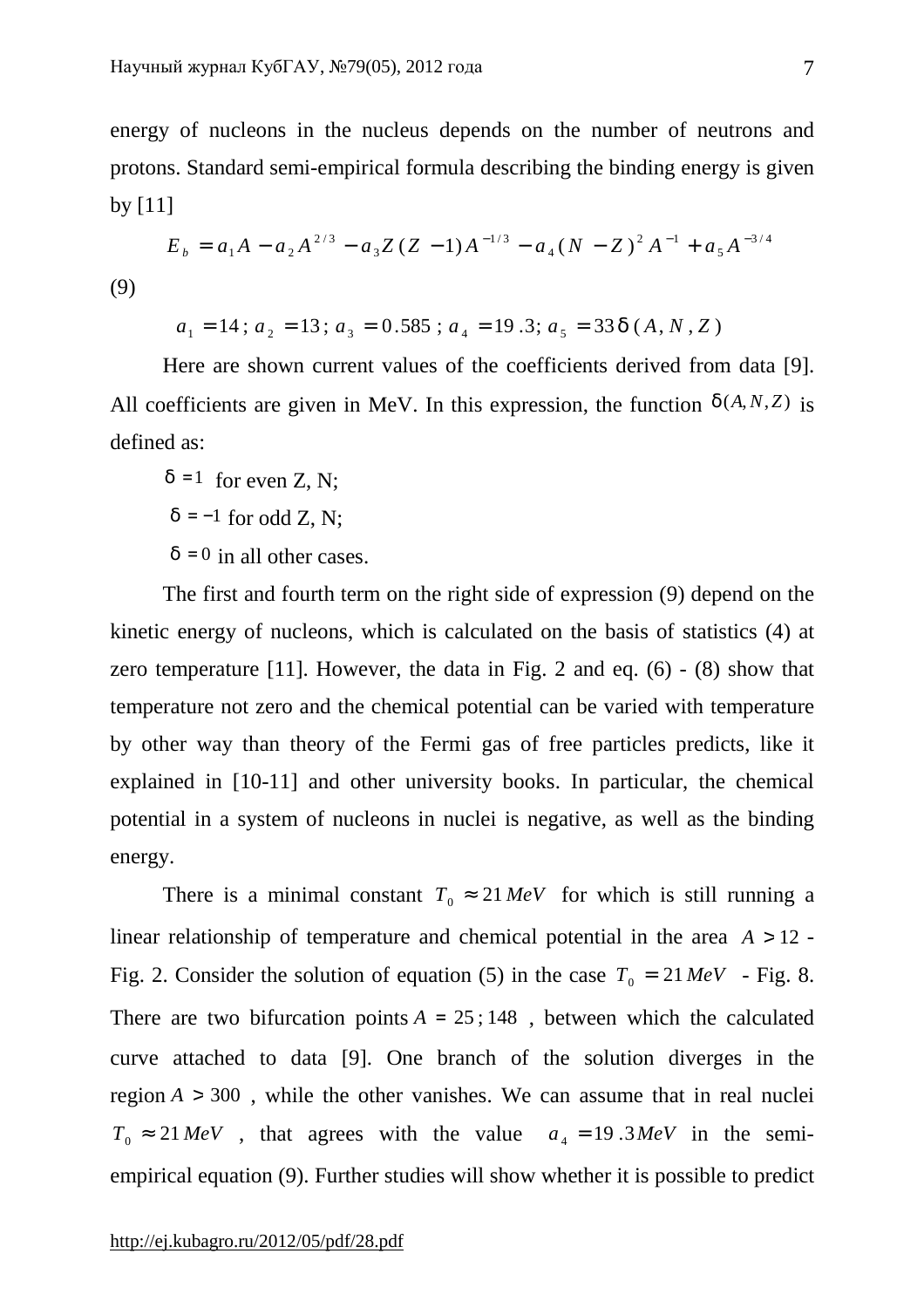energy of nucleons in the nucleus depends on the number of neutrons and protons. Standard semi-empirical formula describing the binding energy is given by  $[11]$ 

$$
E_b = a_1 A - a_2 A^{2/3} - a_3 Z (Z - 1) A^{-1/3} - a_4 (N - Z)^2 A^{-1} + a_5 A^{-3/4}
$$

(9)

$$
a_1 = 14
$$
;  $a_2 = 13$ ;  $a_3 = 0.585$ ;  $a_4 = 19.3$ ;  $a_5 = 33 d(A, N, Z)$ 

Here are shown current values of the coefficients derived from data [9]. All coefficients are given in MeV. In this expression, the function  $d(A, N, Z)$  is defined as:

 $d = 1$  for even Z, N;  $d = -1$  for odd Z, N;  $d = 0$  in all other cases.

The first and fourth term on the right side of expression (9) depend on the kinetic energy of nucleons, which is calculated on the basis of statistics (4) at zero temperature [11]. However, the data in Fig. 2 and eq.  $(6)$  -  $(8)$  show that temperature not zero and the chemical potential can be varied with temperature by other way than theory of the Fermi gas of free particles predicts, like it explained in [10-11] and other university books. In particular, the chemical potential in a system of nucleons in nuclei is negative, as well as the binding energy.

There is a minimal constant  $T_0 \approx 21 \text{ MeV}$  for which is still running a linear relationship of temperature and chemical potential in the area *A* > 12 - Fig. 2. Consider the solution of equation (5) in the case  $T_0 = 21 \text{ MeV}$  - Fig. 8. There are two bifurcation points  $A = 25$ ; 148, between which the calculated curve attached to data [9]. One branch of the solution diverges in the region  $A > 300$ , while the other vanishes. We can assume that in real nuclei  $T_0 \approx 21 \text{ MeV}$ , that agrees with the value  $a_4 = 19.3 \text{ MeV}$  in the semiempirical equation (9). Further studies will show whether it is possible to predict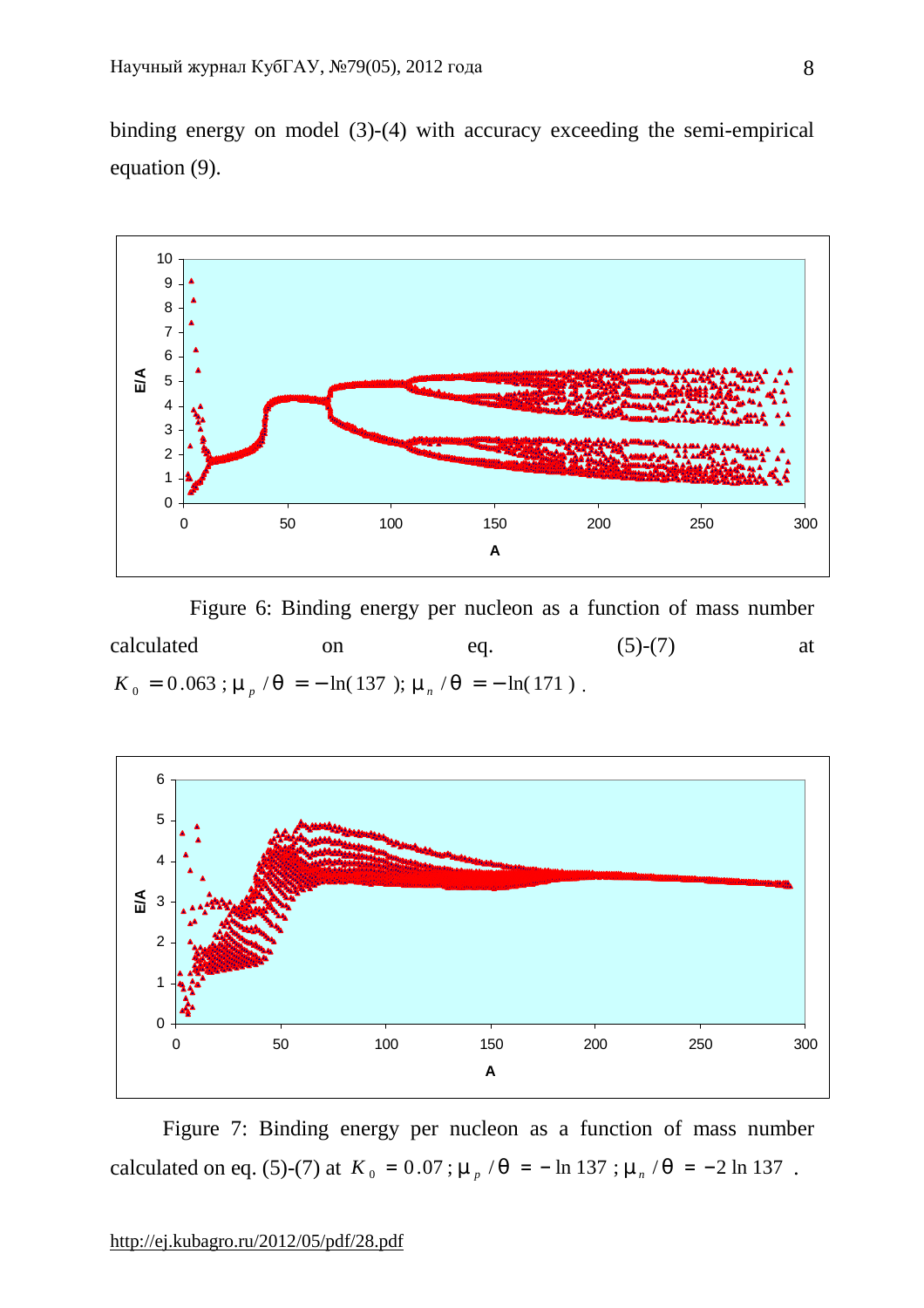binding energy on model (3)-(4) with accuracy exceeding the semi-empirical equation (9).



 Figure 6: Binding energy per nucleon as a function of mass number calculated on  $eq.$  (5)-(7) at  $K_0 = 0.063$ ;  $m_p / q = -\ln(137)$ ;  $m_n / q = -\ln(171)$ .



Figure 7: Binding energy per nucleon as a function of mass number calculated on eq. (5)-(7) at  $K_0 = 0.07$ ;  $m_p / q = -\ln 137$ ;  $m_n / q = -2 \ln 137$ .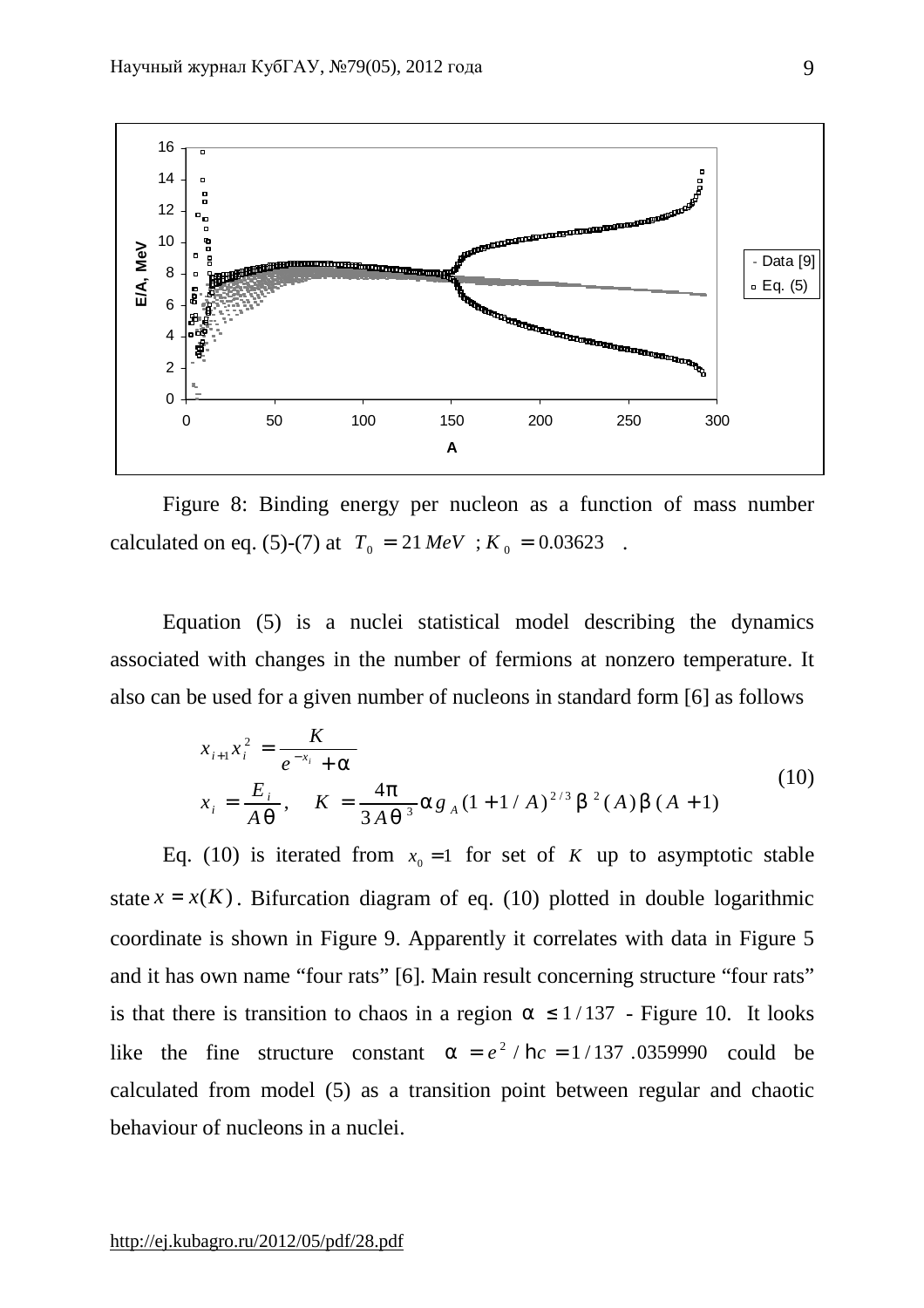

Figure 8: Binding energy per nucleon as a function of mass number calculated on eq. (5)-(7) at  $T_0 = 21 \text{ MeV}$ ;  $K_0 = 0.03623$ .

Equation (5) is a nuclei statistical model describing the dynamics associated with changes in the number of fermions at nonzero temperature. It also can be used for a given number of nucleons in standard form [6] as follows

$$
x_{i+1}x_i^2 = \frac{K}{e^{-x_i} + a}
$$
  
\n
$$
x_i = \frac{E_i}{Aq}, \quad K = \frac{4p}{3Aq^3}ag_A(1 + 1/A)^{2/3}b^2(A)b(A+1)
$$
\n(10)

Eq. (10) is iterated from  $x_0 = 1$  for set of *K* up to asymptotic stable state  $x = x(K)$ . Bifurcation diagram of eq. (10) plotted in double logarithmic coordinate is shown in Figure 9. Apparently it correlates with data in Figure 5 and it has own name "four rats" [6]. Main result concerning structure "four rats" is that there is transition to chaos in a region  $a \leq 1/137$  - Figure 10. It looks like the fine structure constant  $a = e^2 / h c = 1/137$  .0359990 could be calculated from model (5) as a transition point between regular and chaotic behaviour of nucleons in a nuclei.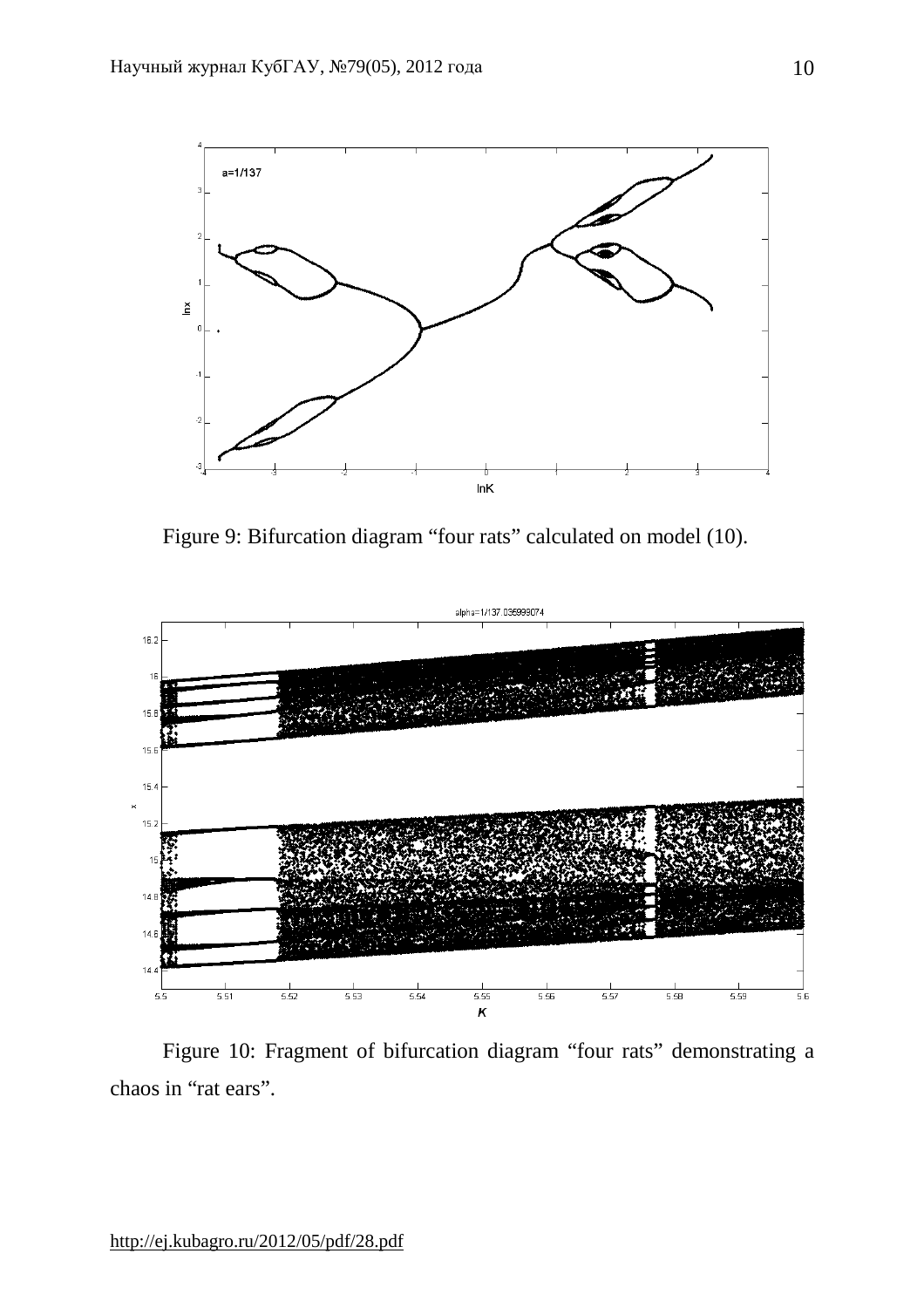

Figure 9: Bifurcation diagram "four rats" calculated on model (10).



Figure 10: Fragment of bifurcation diagram "four rats" demonstrating a chaos in "rat ears".